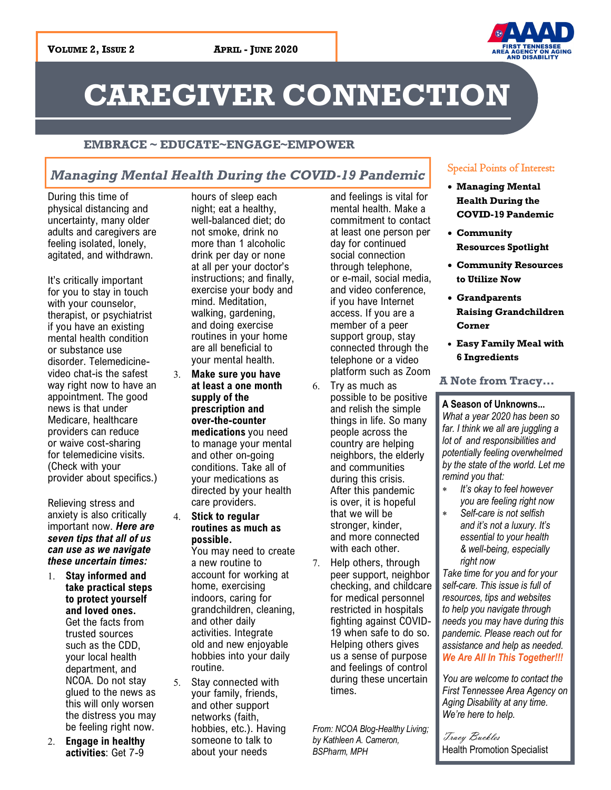

# **CAREGIVER CONNECTION**

### **EMBRACE ~ EDUCATE~ENGAGE~EMPOWER**

# *Managing Mental Health During the COVID-19 Pandemic*

During this time of physical distancing and uncertainty, many older adults and caregivers are feeling isolated, lonely, agitated, and withdrawn.

It's critically important for you to stay in touch with your counselor, therapist, or psychiatrist if you have an existing mental health condition or substance use disorder. Telemedicinevideo chat-is the safest way right now to have an appointment. The good news is that under Medicare, healthcare providers can reduce or waive cost-sharing for telemedicine visits. (Check with your provider about specifics.)

Relieving stress and anxiety is also critically important now. *Here are seven tips that all of us can use as we navigate these uncertain times:*

- **Stay informed and take practical steps to protect yourself and loved ones.** Get the facts from trusted sources such as the CDD, your local health department, and NCOA. Do not stay glued to the news as this will only worsen the distress you may be feeling right now.
- **Engage in healthy activities**: Get 7-9

hours of sleep each night; eat a healthy, well-balanced diet; do not smoke, drink no more than 1 alcoholic drink per day or none at all per your doctor's instructions; and finally, exercise your body and mind. Meditation, walking, gardening, and doing exercise routines in your home are all beneficial to your mental health.

- **Make sure you have at least a one month supply of the prescription and over-the-counter medications** you need to manage your mental and other on-going conditions. Take all of your medications as directed by your health care providers.
- **Stick to regular routines as much as possible.**

You may need to create a new routine to account for working at home, exercising indoors, caring for grandchildren, cleaning, and other daily activities. Integrate old and new enjoyable hobbies into your daily routine.

5. Stay connected with your family, friends, and other support networks (faith, hobbies, etc.). Having someone to talk to about your needs

and feelings is vital for mental health. Make a commitment to contact at least one person per day for continued social connection through telephone, or e-mail, social media, and video conference, if you have Internet access. If you are a member of a peer support group, stay connected through the telephone or a video platform such as Zoom

- $6.$  Try as much as possible to be positive and relish the simple things in life. So many people across the country are helping neighbors, the elderly and communities during this crisis. After this pandemic is over, it is hopeful that we will be stronger, kinder, and more connected with each other.
- 7. Help others, through peer support, neighbor checking, and childcare for medical personnel restricted in hospitals fighting against COVID-19 when safe to do so. Helping others gives us a sense of purpose and feelings of control during these uncertain times.

*From: NCOA Blog-Healthy Living; by Kathleen A. Cameron, BSPharm, MPH*

# Special Points of Interest:

- **Managing Mental Health During the COVID-19 Pandemic**
- **Community Resources Spotlight**
- **Community Resources to Utilize Now**
- **Grandparents Raising Grandchildren Corner**
- **Easy Family Meal with 6 Ingredients**

# **A Note from Tracy...**

### **A Season of Unknowns...**

*What a year 2020 has been so far. I think we all are juggling a lot of and responsibilities and potentially feeling overwhelmed by the state of the world. Let me remind you that:* 

- *It's okay to feel however you are feeling right now*
- *Self-care is not selfish and it's not a luxury. It's essential to your health & well-being, especially right now*

*Take time for you and for your self-care. This issue is full of resources, tips and websites to help you navigate through needs you may have during this pandemic. Please reach out for assistance and help as needed. We Are All In This Together!!!*

*You are welcome to contact the First Tennessee Area Agency on Aging Disability at any time. We're here to help.*

Tracy Buckles Health Promotion Specialist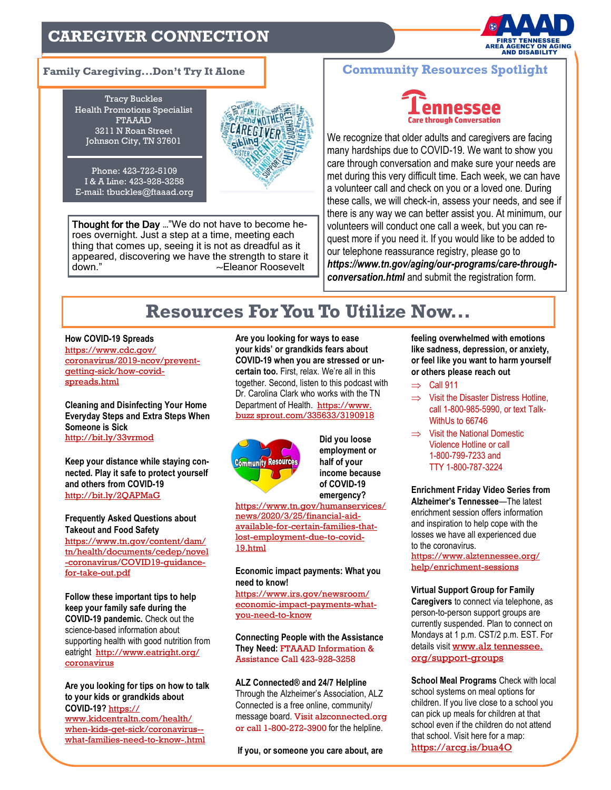# **CAREGIVER CONNECTION**



Tracy Buckles Health Promotions Specialist FTAAAD 3211 N Roan Street Johnson City, TN 37601

Phone: 423-722-5109 I & A Line: 423-928-3258 E-mail: tbuckles@ftaaad.org



Thought for the Day …"We do not have to become heroes overnight. Just a step at a time, meeting each thing that comes up, seeing it is not as dreadful as it appeared, discovering we have the strength to stare it down." 
and the contract of the contract of the contract of the contract of the contract of the contract of the contract of the contract of the contract of the contract of the contract of the contract of the contract of th

### **Family Caregiving...Don't Try It Alone Community Resources Spotlight**



We recognize that older adults and caregivers are facing many hardships due to COVID-19. We want to show you care through conversation and make sure your needs are met during this very difficult time. Each week, we can have a volunteer call and check on you or a loved one. During these calls, we will check-in, assess your needs, and see if there is any way we can better assist you. At minimum, our volunteers will conduct one call a week, but you can request more if you need it. If you would like to be added to our telephone reassurance registry, please go to *https://www.tn.gov/aging/our-programs/care-throughconversation.html* and submit the registration form.

# **Resources For You To Utilize Now...**

#### **How COVID-19 Spreads**

https://www.cdc.gov/ coronavirus/2019-ncov/preventgetting-sick/how-covidspreads.html

**Cleaning and Disinfecting Your Home Everyday Steps and Extra Steps When Someone is Sick** [http://bit.ly/33vrmod](https://t.co/jwJNkZSNjB?amp=1)

**Keep your distance while staying connected. Play it safe to protect yourself and others from COVID-19** [http://bit.ly/2QAPMaG](https://t.co/gQqzaSjRWF?amp=1)

**Frequently Asked Questions about Takeout and Food Safety**  https://www.tn.gov/content/dam/ tn/health/documents/cedep/novel -coronavirus/COVID19-guidancefor-take-out.pdf

**Follow these important tips to help keep your family safe during the COVID-19 pandemic.** Check out the science-based information about supporting health with good nutrition from eatright [http://www.eatright.org/](https://t.co/TYhSob77Ys?amp=1) [coronavirus](https://t.co/TYhSob77Ys?amp=1) 

**Are you looking for tips on how to talk to your kids or grandkids about COVID-19?** [https://](https://www.kidcentraltn.com/health/when-kids-get-sick/coronavirus--what-families-need-to-know-.html)

[www.kidcentraltn.com/health/](https://www.kidcentraltn.com/health/when-kids-get-sick/coronavirus--what-families-need-to-know-.html) [when-kids-get-sick/coronavirus-](https://www.kidcentraltn.com/health/when-kids-get-sick/coronavirus--what-families-need-to-know-.html) [what-families-need-to-know-.html](https://www.kidcentraltn.com/health/when-kids-get-sick/coronavirus--what-families-need-to-know-.html)

**Are you looking for ways to ease your kids' or grandkids fears about COVID-19 when you are stressed or uncertain too.** First, relax. We're all in this together. Second, listen to this podcast with Dr. Carolina Clark who works with the TN Department of Health. https://www. [buzz sprout.com/335633/3190918](https://www.buzzsprout.com/335633/3190918)



**Did you loose employment or half of your income because of COVID-19 emergency?**

[https://www.tn.gov/humanservices/](https://www.tn.gov/humanservices/news/2020/3/25/financial-aid-available-for-certain-families-that-lost-employment-due-to-covid-19.html) [news/2020/3/25/financial-aid](https://www.tn.gov/humanservices/news/2020/3/25/financial-aid-available-for-certain-families-that-lost-employment-due-to-covid-19.html)[available-for-certain-families-that](https://www.tn.gov/humanservices/news/2020/3/25/financial-aid-available-for-certain-families-that-lost-employment-due-to-covid-19.html)[lost-employment-due-to-covid-](https://www.tn.gov/humanservices/news/2020/3/25/financial-aid-available-for-certain-families-that-lost-employment-due-to-covid-19.html)[19.html](https://www.tn.gov/humanservices/news/2020/3/25/financial-aid-available-for-certain-families-that-lost-employment-due-to-covid-19.html)

### **Economic impact payments: What you need to know!**

https://www.irs.gov/newsroom/ economic-impact-payments-whatyou-need-to-know

**Connecting People with the Assistance They Need:** FTAAAD Information & Assistance Call 423-928-3258

**ALZ Connected® and 24/7 Helpline**  Through the Alzheimer's Association, ALZ Connected is a free online, community/ message board. Visit alzconnected.org or call 1-800-272-3900 for the helpline.

**If you, or someone you care about, are** 

**feeling overwhelmed with emotions like sadness, depression, or anxiety, or feel like you want to harm yourself or others please reach out**

- $\Rightarrow$  Call 911
- $\Rightarrow$  Visit the Disaster Distress Hotline. call 1-800-985-5990, or text Talk-WithUs to 66746
- $\implies$  Visit the National Domestic Violence Hotline or call 1-800-799-7233 and TTY 1-800-787-3224

**Enrichment Friday Video Series from Alzheimer's Tennessee**—The latest enrichment session offers information and inspiration to help cope with the losses we have all experienced due to the coronavirus.

https://www.alztennessee.org/ help/enrichment-sessions

**Virtual Support Group for Family Caregivers** to connect via telephone, as person-to-person support groups are currently suspended. Plan to connect on Mondays at 1 p.m. CST/2 p.m. EST. For details visit www.alz tennessee. [org/support-groups](http://www.alztennessee.org/support-groups)

**School Meal Programs** Check with local school systems on meal options for children. If you live close to a school you can pick up meals for children at that school even if the children do not attend that school. Visit here for a map: https://arcg.is/bua4O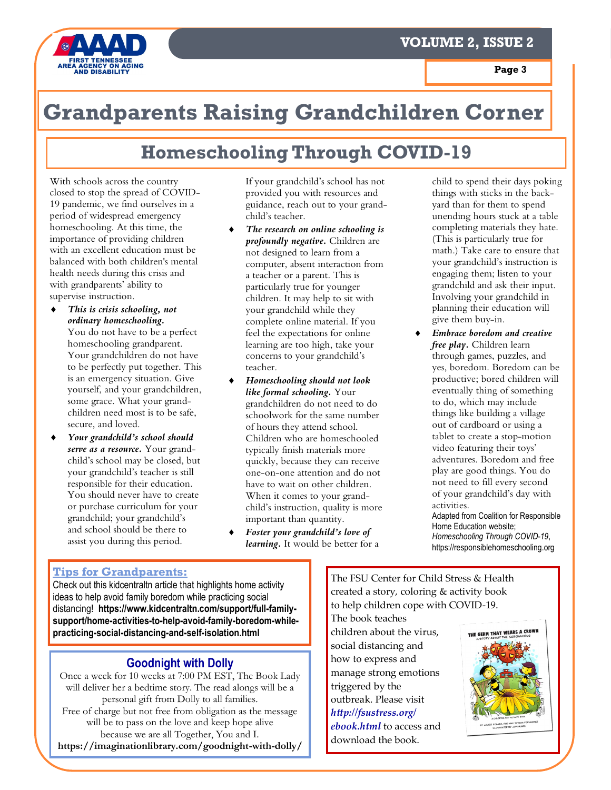



# **Grandparents Raising Grandchildren Corner**

# **Homeschooling Through COVID-19**

With schools across the country closed to stop the spread of COVID-19 pandemic, we find ourselves in a period of widespread emergency homeschooling. At this time, the importance of providing children with an excellent education must be balanced with both children's mental health needs during this crisis and with grandparents' ability to supervise instruction.

- *This is crisis schooling, not ordinary homeschooling.*  You do not have to be a perfect homeschooling grandparent. Your grandchildren do not have to be perfectly put together. This is an emergency situation. Give yourself, and your grandchildren, some grace. What your grandchildren need most is to be safe, secure, and loved.
- *Your grandchild's school should serve as a resource.* Your grandchild's school may be closed, but your grandchild's teacher is still responsible for their education. You should never have to create or purchase curriculum for your grandchild; your grandchild's and school should be there to assist you during this period.

If your grandchild's school has not provided you with resources and guidance, reach out to your grandchild's teacher.

- *The research on online schooling is profoundly negative.* Children are not designed to learn from a computer, absent interaction from a teacher or a parent. This is particularly true for younger children. It may help to sit with your grandchild while they complete online material. If you feel the expectations for online learning are too high, take your concerns to your grandchild's teacher.
- *Homeschooling should not look like formal schooling.* Your grandchildren do not need to do schoolwork for the same number of hours they attend school. Children who are homeschooled typically finish materials more quickly, because they can receive one-on-one attention and do not have to wait on other children. When it comes to your grandchild's instruction, quality is more important than quantity.
- *Foster your grandchild's love of learning.* It would be better for a

child to spend their days poking things with sticks in the backyard than for them to spend unending hours stuck at a table completing materials they hate. (This is particularly true for math.) Take care to ensure that your grandchild's instruction is engaging them; listen to your grandchild and ask their input. Involving your grandchild in planning their education will give them buy-in.

 *Embrace boredom and creative free play.* Children learn through games, puzzles, and yes, boredom. Boredom can be productive; bored children will eventually thing of something to do, which may include things like building a village out of cardboard or using a tablet to create a stop-motion video featuring their toys' adventures. Boredom and free play are good things. You do not need to fill every second of your grandchild's day with activities.

Adapted from Coalition for Responsible Home Education website; *Homeschooling Through COVID-19*, https://responsiblehomeschooling.org

# **Tips for Grandparents:**

Check out this kidcentraltn article that highlights home activity ideas to help avoid family boredom while practicing social distancing! **https://www.kidcentraltn.com/support/full-familysupport/home-activities-to-help-avoid-family-boredom-whilepracticing-social-distancing-and-self-isolation.html**

# **Goodnight with Dolly**

Once a week for 10 weeks at 7:00 PM EST, The Book Lady will deliver her a bedtime story. The read alongs will be a personal gift from Dolly to all families. Free of charge but not free from obligation as the message will be to pass on the love and keep hope alive because we are all Together, You and I. **https://imaginationlibrary.com/goodnight-with-dolly/** The FSU Center for Child Stress & Health created a story, coloring & activity book to help children cope with COVID-19. The book teaches

children about the virus, social distancing and how to express and manage strong emotions triggered by the outbreak. Please visit *http://fsustress.org/ ebook.html* to access and download the book.